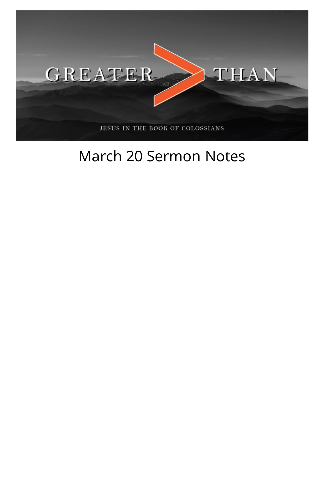

## March 20 Sermon Notes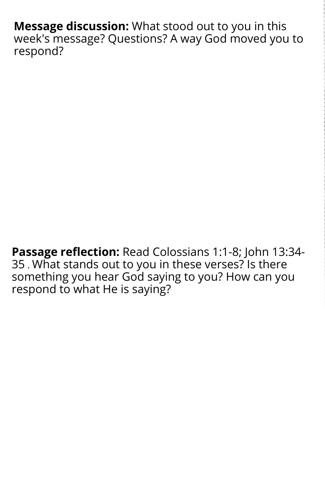**Message discussion:** What stood out to you in this week's message? Questions? A way God moved you to respond?

**Passage reflection:** Read Colossians 1:1-8; John 13:34- 35 . What stands out to you in these verses? Is there something you hear God saying to you? How can you respond to what He is saying?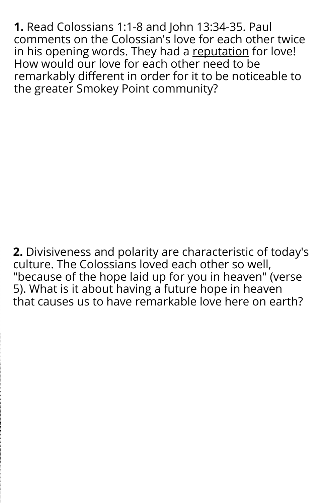**1.** Read Colossians 1:1-8 and John 13:34-35. Paul comments on the Colossian's love for each other twice in his opening words. They had a reputation for love! How would our love for each other need to be remarkably different in order for it to be noticeable to the greater Smokey Point community?

**2.** Divisiveness and polarity are characteristic of today's culture. The Colossians loved each other so well, "because of the hope laid up for you in heaven" (verse 5). What is it about having a future hope in heaven that causes us to have remarkable love here on earth?